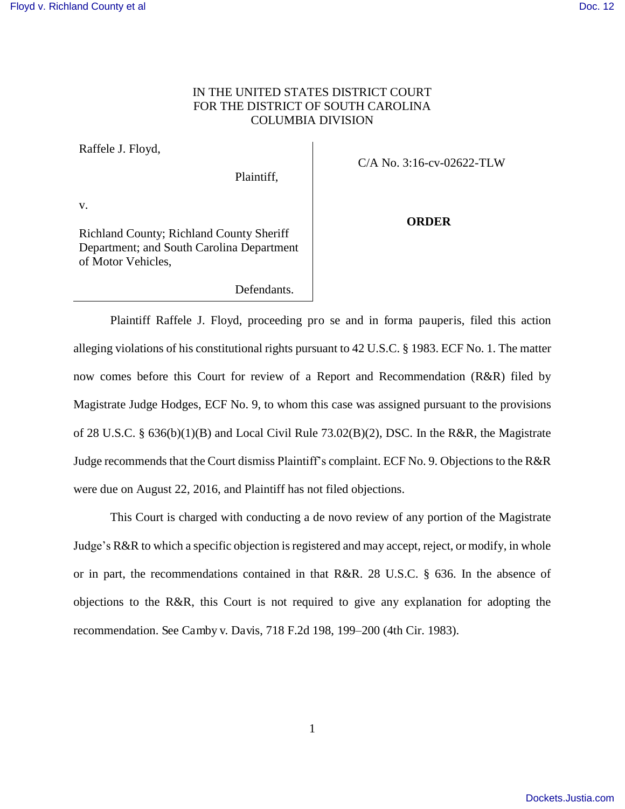## IN THE UNITED STATES DISTRICT COURT FOR THE DISTRICT OF SOUTH CAROLINA COLUMBIA DIVISION

Raffele J. Floyd,

Plaintiff,

C/A No. 3:16-cv-02622-TLW

v.

Richland County; Richland County Sheriff Department; and South Carolina Department of Motor Vehicles,

**ORDER** 

Defendants.

Plaintiff Raffele J. Floyd, proceeding pro se and in forma pauperis, filed this action alleging violations of his constitutional rights pursuant to 42 U.S.C. § 1983. ECF No. 1. The matter now comes before this Court for review of a Report and Recommendation (R&R) filed by Magistrate Judge Hodges, ECF No. 9, to whom this case was assigned pursuant to the provisions of 28 U.S.C. § 636(b)(1)(B) and Local Civil Rule 73.02(B)(2), DSC. In the R&R, the Magistrate Judge recommends that the Court dismiss Plaintiff's complaint. ECF No. 9. Objections to the R&R were due on August 22, 2016, and Plaintiff has not filed objections.

This Court is charged with conducting a de novo review of any portion of the Magistrate Judge's R&R to which a specific objection is registered and may accept, reject, or modify, in whole or in part, the recommendations contained in that R&R. 28 U.S.C. § 636. In the absence of objections to the R&R, this Court is not required to give any explanation for adopting the recommendation. See Camby v. Davis, 718 F.2d 198, 199–200 (4th Cir. 1983).